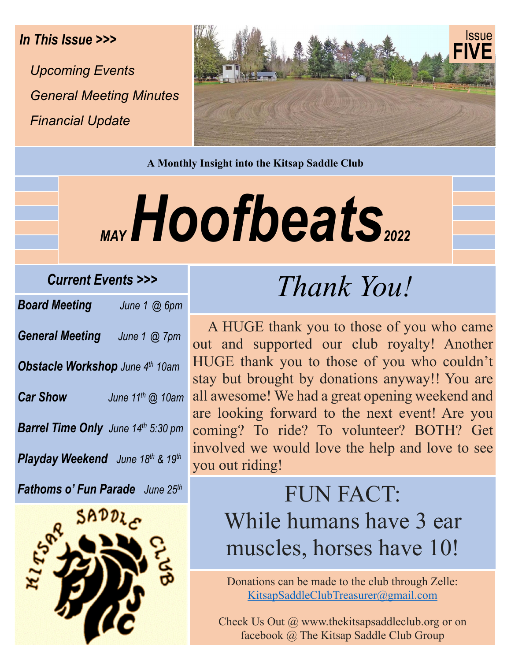*Upcoming Events General Meeting Minutes Financial Update* 



**A Monthly Insight into the Kitsap Saddle Club** 

# MAY Hoofbeats

#### *Current Events >>>*

| <b>Board Meeting</b>                      | June 1 @ 6pm                 |  |
|-------------------------------------------|------------------------------|--|
| <b>General Meeting</b>                    | June $1$ $@$ $7$ pm          |  |
| <b>Obstacle Workshop</b> June 4th 10am    |                              |  |
| <b>Car Show</b>                           | June 11 <sup>th</sup> @ 10am |  |
| <b>Barrel Time Only</b> June 14th 5:30 pm |                              |  |
| <b>Playday Weekend</b> June 18th & 19th   |                              |  |

*Fathoms o' Fun Parade June 25th*



# *Thank You!*

 A HUGE thank you to those of you who came out and supported our club royalty! Another HUGE thank you to those of you who couldn't stay but brought by donations anyway!! You are all awesome! We had a great opening weekend and are looking forward to the next event! Are you coming? To ride? To volunteer? BOTH? Get involved we would love the help and love to see you out riding!

## FUN FACT: While humans have 3 ear muscles, horses have 10!

Donations can be made to the club through Zelle: KitsapSaddleClubTreasurer@gmail.com

Check Us Out @ www.thekitsapsaddleclub.org or on facebook @ The Kitsap Saddle Club Group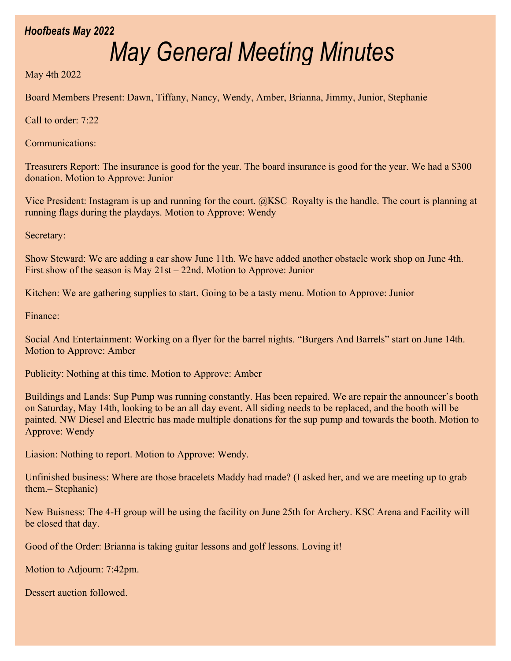#### *Hoofbeats May 2022*

## *May General Meeting Minutes*

May 4th 2022

Board Members Present: Dawn, Tiffany, Nancy, Wendy, Amber, Brianna, Jimmy, Junior, Stephanie

Call to order: 7:22

Communications:

Treasurers Report: The insurance is good for the year. The board insurance is good for the year. We had a \$300 donation. Motion to Approve: Junior

Vice President: Instagram is up and running for the court. @KSC\_Royalty is the handle. The court is planning at running flags during the playdays. Motion to Approve: Wendy

Secretary:

Show Steward: We are adding a car show June 11th. We have added another obstacle work shop on June 4th. First show of the season is May 21st – 22nd. Motion to Approve: Junior

Kitchen: We are gathering supplies to start. Going to be a tasty menu. Motion to Approve: Junior

Finance:

Social And Entertainment: Working on a flyer for the barrel nights. "Burgers And Barrels" start on June 14th. Motion to Approve: Amber

Publicity: Nothing at this time. Motion to Approve: Amber

Buildings and Lands: Sup Pump was running constantly. Has been repaired. We are repair the announcer's booth on Saturday, May 14th, looking to be an all day event. All siding needs to be replaced, and the booth will be painted. NW Diesel and Electric has made multiple donations for the sup pump and towards the booth. Motion to Approve: Wendy

Liasion: Nothing to report. Motion to Approve: Wendy.

Unfinished business: Where are those bracelets Maddy had made? (I asked her, and we are meeting up to grab them.– Stephanie)

New Buisness: The 4-H group will be using the facility on June 25th for Archery. KSC Arena and Facility will be closed that day.

Good of the Order: Brianna is taking guitar lessons and golf lessons. Loving it!

Motion to Adjourn: 7:42pm.

Dessert auction followed.